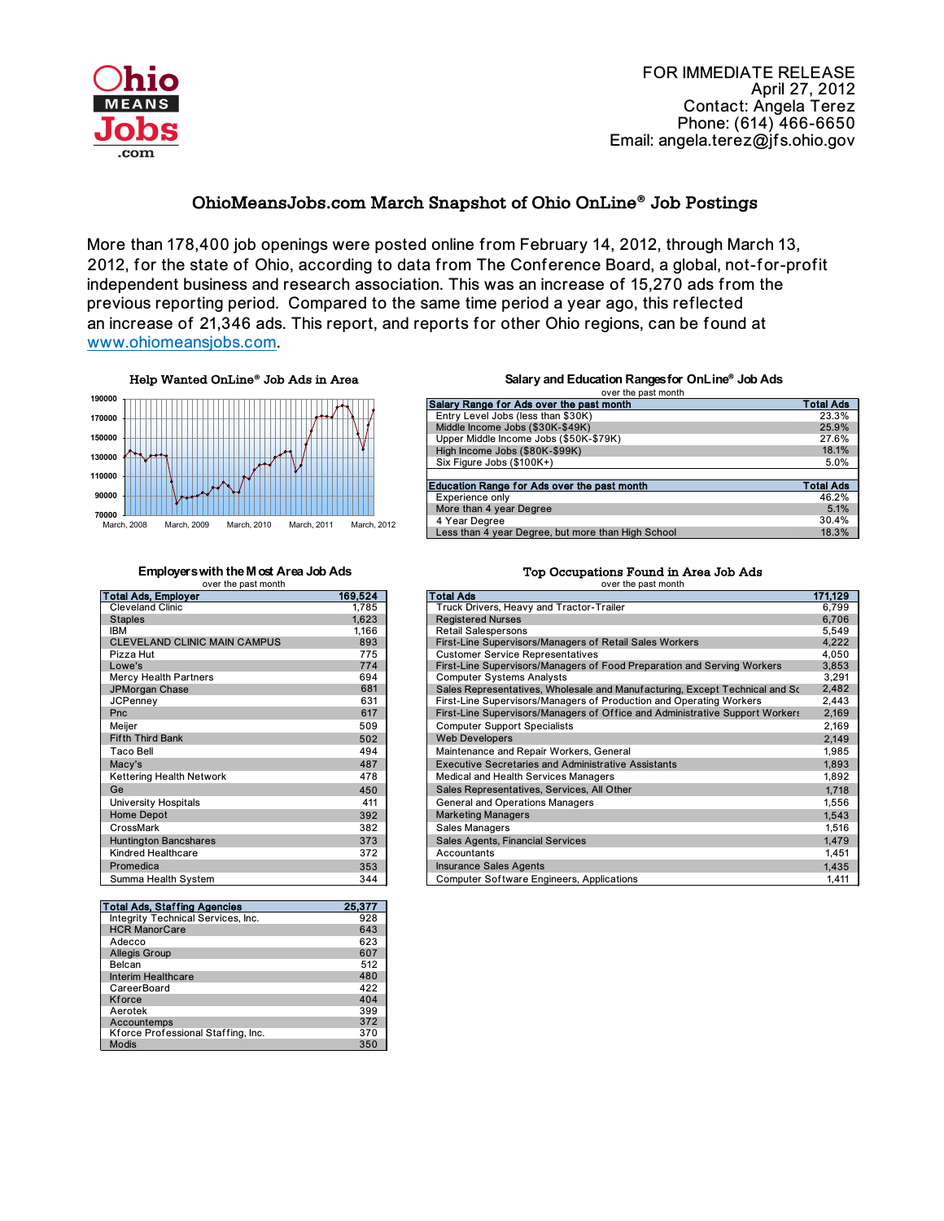

FOR IMMEDIATE RELEASE April 27, 2012 Contact: Angela Terez Phone: (614) 466-6650 Email: angela.terez@jfs.ohio.gov

## OhioMeansJobs.com March Snapshot of Ohio OnLine**®** Job Postings

| Salary Range for Ads over the past month           | <b>Total Ads</b> |
|----------------------------------------------------|------------------|
| Entry Level Jobs (less than \$30K)                 | 23.3%            |
| Middle Income Jobs (\$30K-\$49K)                   | 25.9%            |
| Upper Middle Income Jobs (\$50K-\$79K)             | 27.6%            |
| High Income Jobs (\$80K-\$99K)                     | 18.1%            |
| Six Figure Jobs (\$100K+)                          | 5.0%             |
|                                                    |                  |
| <b>Education Range for Ads over the past month</b> | <b>Total Ads</b> |
| <b>Experience only</b>                             | 46.2%            |
| More than 4 year Degree                            | 5.1%             |
| 4 Year Degree                                      | 30.4%            |
| Less than 4 year Degree, but more than High School | 18.3%            |

## **Employers with the Most Area Job Ads**<br>
over the past month<br>
over the past month<br>
over the past month over the past month

| <b>Total Ads, Employer</b>          | 169,524 |
|-------------------------------------|---------|
| <b>Cleveland Clinic</b>             | 1,785   |
| <b>Staples</b>                      | 1,623   |
| <b>IBM</b>                          | 1,166   |
| <b>CLEVELAND CLINIC MAIN CAMPUS</b> | 893     |
| Pizza Hut                           | 775     |
| Lowe's                              | 774     |
| <b>Mercy Health Partners</b>        | 694     |
| JPMorgan Chase                      | 681     |
| <b>JCPenney</b>                     | 631     |
| Pnc                                 | 617     |
| Meijer                              | 509     |
| <b>Fifth Third Bank</b>             | 502     |
| <b>Taco Bell</b>                    | 494     |
| Macy's                              | 487     |
| <b>Kettering Health Network</b>     | 478     |
| Ge                                  | 450     |
| <b>University Hospitals</b>         | 411     |
| <b>Home Depot</b>                   | 392     |
| CrossMark                           | 382     |
| <b>Huntington Bancshares</b>        | 373     |
| <b>Kindred Healthcare</b>           | 372     |
| Promedica                           | 353     |
| Summa Health System                 | 344     |

| <b>Total Ads, Employer</b>          | 169,524 | <b>Total Ads</b>                                                             | 171,129 |
|-------------------------------------|---------|------------------------------------------------------------------------------|---------|
| <b>Cleveland Clinic</b>             | 1,785   | Truck Drivers, Heavy and Tractor-Trailer                                     | 6,799   |
| <b>Staples</b>                      | 1,623   | <b>Registered Nurses</b>                                                     | 6,706   |
| <b>IBM</b>                          | 1,166   | <b>Retail Salespersons</b>                                                   | 5,549   |
| <b>CLEVELAND CLINIC MAIN CAMPUS</b> | 893     | First-Line Supervisors/Managers of Retail Sales Workers                      | 4,222   |
| Pizza Hut                           | 775     | <b>Customer Service Representatives</b>                                      | 4,050   |
| Lowe's                              | 774     | First-Line Supervisors/Managers of Food Preparation and Serving Workers      | 3,853   |
| <b>Mercy Health Partners</b>        | 694     | <b>Computer Systems Analysts</b>                                             | 3,291   |
| <b>JPMorgan Chase</b>               | 681     | Sales Representatives, Wholesale and Manufacturing, Except Technical and Sc  | 2,482   |
| <b>JCPenney</b>                     | 631     | First-Line Supervisors/Managers of Production and Operating Workers          | 2,443   |
| Pnc                                 | 617     | First-Line Supervisors/Managers of Office and Administrative Support Workers | 2,169   |
| Meijer                              | 509     | <b>Computer Support Specialists</b>                                          | 2,169   |
| <b>Fifth Third Bank</b>             | 502     | <b>Web Developers</b>                                                        | 2,149   |
| <b>Taco Bell</b>                    | 494     | Maintenance and Repair Workers, General                                      | 1,985   |
| Macy's                              | 487     | <b>Executive Secretaries and Administrative Assistants</b>                   | 1,893   |
| <b>Kettering Health Network</b>     | 478     | <b>Medical and Health Services Managers</b>                                  | 1,892   |
| Ge                                  | 450     | Sales Representatives, Services, All Other                                   | 1,718   |
| <b>University Hospitals</b>         | 411     | <b>General and Operations Managers</b>                                       | 1,556   |
| <b>Home Depot</b>                   | 392     | <b>Marketing Managers</b>                                                    | 1,543   |
| CrossMark                           | 382     | <b>Sales Managers</b>                                                        | 1,516   |
| <b>Huntington Bancshares</b>        | 373     | <b>Sales Agents, Financial Services</b>                                      | 1,479   |
| <b>Kindred Healthcare</b>           | 372     | Accountants                                                                  | 1,451   |
| Promedica                           | 353     | <b>Insurance Sales Agents</b>                                                | 1,435   |
| Summa Health System                 | 344     | <b>Computer Software Engineers, Applications</b>                             | 1,411   |

Help Wanted OnLine**®** Job Ads in Area



| <b>Total Ads, Staffing Agencies</b>       | 25,377 |
|-------------------------------------------|--------|
| <b>Integrity Technical Services, Inc.</b> | 928    |
| <b>HCR ManorCare</b>                      | 643    |
| Adecco                                    | 623    |
| <b>Allegis Group</b>                      | 607    |
| <b>Belcan</b>                             | 512    |
| <b>Interim Healthcare</b>                 | 480    |
| CareerBoard                               | 422    |
| <b>Kforce</b>                             | 404    |
| Aerotek                                   | 399    |
| Accountemps                               | 372    |
| Kforce Professional Staffing, Inc.        | 370    |
| <b>Modis</b>                              | 350    |

## **Salary and Education Ranges for OnLine® Job Ads** over the past month

More than 178,400 job openings were posted online from February 14, 2012, through March 13, an increase of 21,346 ads. This report, and reports for other Ohio regions, can be found at www.ohiomeansjobs.com. 2012, for the state of Ohio, according to data from The Conference Board, a global, not-for-profit independent business and research association. This was an increase of 15,270 ads from the previous reporting period. Compared to the same time period a year ago, this reflected